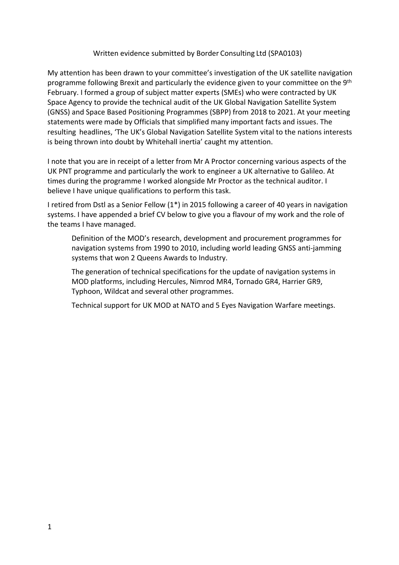### Written evidence submitted by Border Consulting Ltd (SPA0103)

My attention has been drawn to your committee's investigation of the UK satellite navigation programme following Brexit and particularly the evidence given to your committee on the 9<sup>th</sup> February. I formed a group of subject matter experts (SMEs) who were contracted by UK Space Agency to provide the technical audit of the UK Global Navigation Satellite System (GNSS) and Space Based Positioning Programmes (SBPP) from 2018 to 2021. At your meeting statements were made by Officials that simplified many important facts and issues. The resulting headlines, 'The UK's Global Navigation Satellite System vital to the nations interests is being thrown into doubt by Whitehall inertia' caught my attention.

I note that you are in receipt of a letter from Mr A Proctor concerning various aspects of the UK PNT programme and particularly the work to engineer a UK alternative to Galileo. At times during the programme I worked alongside Mr Proctor as the technical auditor. I believe I have unique qualifications to perform this task.

I retired from Dstl as a Senior Fellow (1\*) in 2015 following a career of 40 years in navigation systems. I have appended a brief CV below to give you a flavour of my work and the role of the teams I have managed.

Definition of the MOD's research, development and procurement programmes for navigation systems from 1990 to 2010, including world leading GNSS anti-jamming systems that won 2 Queens Awards to Industry.

The generation of technical specifications for the update of navigation systems in MOD platforms, including Hercules, Nimrod MR4, Tornado GR4, Harrier GR9, Typhoon, Wildcat and several other programmes.

Technical support for UK MOD at NATO and 5 Eyes Navigation Warfare meetings.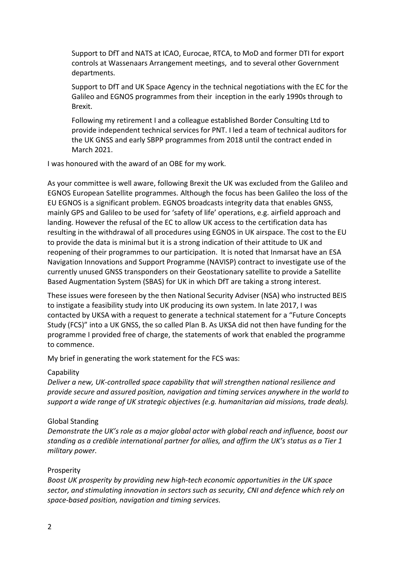Support to DfT and NATS at ICAO, Eurocae, RTCA, to MoD and former DTI for export controls at Wassenaars Arrangement meetings, and to several other Government departments.

Support to DfT and UK Space Agency in the technical negotiations with the EC for the Galileo and EGNOS programmes from their inception in the early 1990s through to Brexit.

Following my retirement I and a colleague established Border Consulting Ltd to provide independent technical services for PNT. I led a team of technical auditors for the UK GNSS and early SBPP programmes from 2018 until the contract ended in March 2021.

I was honoured with the award of an OBE for my work.

As your committee is well aware, following Brexit the UK was excluded from the Galileo and EGNOS European Satellite programmes. Although the focus has been Galileo the loss of the EU EGNOS is a significant problem. EGNOS broadcasts integrity data that enables GNSS, mainly GPS and Galileo to be used for 'safety of life' operations, e.g. airfield approach and landing. However the refusal of the EC to allow UK access to the certification data has resulting in the withdrawal of all procedures using EGNOS in UK airspace. The cost to the EU to provide the data is minimal but it is a strong indication of their attitude to UK and reopening of their programmes to our participation. It is noted that Inmarsat have an ESA Navigation Innovations and Support Programme (NAVISP) contract to investigate use of the currently unused GNSS transponders on their Geostationary satellite to provide a Satellite Based Augmentation System (SBAS) for UK in which DfT are taking a strong interest.

These issues were foreseen by the then National Security Adviser (NSA) who instructed BEIS to instigate a feasibility study into UK producing its own system. In late 2017, I was contacted by UKSA with a request to generate a technical statement for a "Future Concepts Study (FCS)" into a UK GNSS, the so called Plan B. As UKSA did not then have funding for the programme I provided free of charge, the statements of work that enabled the programme to commence.

My brief in generating the work statement for the FCS was:

### **Capability**

*Deliver a new, UK-controlled space capability that will strengthen national resilience and provide secure and assured position, navigation and timing services anywhere in the world to support a wide range of UK strategic objectives (e.g. humanitarian aid missions, trade deals).*

## Global Standing

*Demonstrate the UK's role as a major global actor with global reach and influence, boost our standing as a credible international partner for allies, and affirm the UK's status as a Tier 1 military power.*

### Prosperity

*Boost UK prosperity by providing new high-tech economic opportunities in the UK space sector, and stimulating innovation in sectors such as security, CNI and defence which rely on space-based position, navigation and timing services.*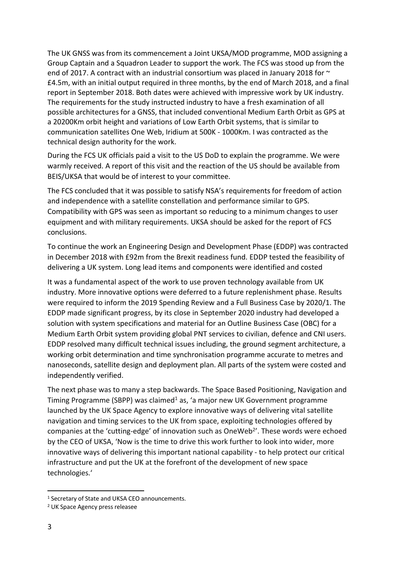The UK GNSS was from its commencement a Joint UKSA/MOD programme, MOD assigning a Group Captain and a Squadron Leader to support the work. The FCS was stood up from the end of 2017. A contract with an industrial consortium was placed in January 2018 for  $\sim$ £4.5m, with an initial output required in three months, by the end of March 2018, and a final report in September 2018. Both dates were achieved with impressive work by UK industry. The requirements for the study instructed industry to have a fresh examination of all possible architectures for a GNSS, that included conventional Medium Earth Orbit as GPS at a 20200Km orbit height and variations of Low Earth Orbit systems, that is similar to communication satellites One Web, Iridium at 500K - 1000Km. I was contracted as the technical design authority for the work.

During the FCS UK officials paid a visit to the US DoD to explain the programme. We were warmly received. A report of this visit and the reaction of the US should be available from BEIS/UKSA that would be of interest to your committee.

The FCS concluded that it was possible to satisfy NSA's requirements for freedom of action and independence with a satellite constellation and performance similar to GPS. Compatibility with GPS was seen as important so reducing to a minimum changes to user equipment and with military requirements. UKSA should be asked for the report of FCS conclusions.

To continue the work an Engineering Design and Development Phase (EDDP) was contracted in December 2018 with £92m from the Brexit readiness fund. EDDP tested the feasibility of delivering a UK system. Long lead items and components were identified and costed

It was a fundamental aspect of the work to use proven technology available from UK industry. More innovative options were deferred to a future replenishment phase. Results were required to inform the 2019 Spending Review and a Full Business Case by 2020/1. The EDDP made significant progress, by its close in September 2020 industry had developed a solution with system specifications and material for an Outline Business Case (OBC) for a Medium Earth Orbit system providing global PNT services to civilian, defence and CNI users. EDDP resolved many difficult technical issues including, the ground segment architecture, a working orbit determination and time synchronisation programme accurate to metres and nanoseconds, satellite design and deployment plan. All parts of the system were costed and independently verified.

The next phase was to many a step backwards. The Space Based Positioning, Navigation and Timing Programme (SBPP) was claimed<sup>1</sup> as, 'a major new UK Government programme launched by the UK Space Agency to explore innovative ways of delivering vital satellite navigation and timing services to the UK from space, exploiting technologies offered by companies at the 'cutting-edge' of innovation such as OneWeb<sup>2</sup>'. These words were echoed by the CEO of UKSA, 'Now is the time to drive this work further to look into wider, more innovative ways of delivering this important national capability - to help protect our critical infrastructure and put the UK at the forefront of the development of new space technologies.'

<sup>&</sup>lt;sup>1</sup> Secretary of State and UKSA CEO announcements.

<sup>2</sup> UK Space Agency press releasee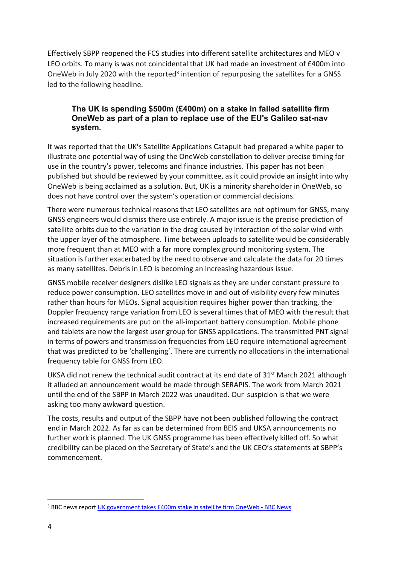Effectively SBPP reopened the FCS studies into different satellite architectures and MEO v LEO orbits. To many is was not coincidental that UK had made an investment of £400m into OneWeb in July 2020 with the reported<sup>3</sup> intention of repurposing the satellites for a GNSS led to the following headline.

# **The UK is spending \$500m (£400m) on a stake in failed satellite firm OneWeb as part of a plan to replace use of the EU's Galileo sat-nav system.**

It was reported that the UK's Satellite Applications Catapult had prepared a white paper to illustrate one potential way of using the OneWeb constellation to deliver precise timing for use in the country's power, telecoms and finance industries. This paper has not been published but should be reviewed by your committee, as it could provide an insight into why OneWeb is being acclaimed as a solution. But, UK is a minority shareholder in OneWeb, so does not have control over the system's operation or commercial decisions.

There were numerous technical reasons that LEO satellites are not optimum for GNSS, many GNSS engineers would dismiss there use entirely. A major issue is the precise prediction of satellite orbits due to the variation in the drag caused by interaction of the solar wind with the upper layer of the atmosphere. Time between uploads to satellite would be considerably more frequent than at MEO with a far more complex ground monitoring system. The situation is further exacerbated by the need to observe and calculate the data for 20 times as many satellites. Debris in LEO is becoming an increasing hazardous issue.

GNSS mobile receiver designers dislike LEO signals as they are under constant pressure to reduce power consumption. LEO satellites move in and out of visibility every few minutes rather than hours for MEOs. Signal acquisition requires higher power than tracking, the Doppler frequency range variation from LEO is several times that of MEO with the result that increased requirements are put on the all-important battery consumption. Mobile phone and tablets are now the largest user group for GNSS applications. The transmitted PNT signal in terms of powers and transmission frequencies from LEO require international agreement that was predicted to be 'challenging'. There are currently no allocations in the international frequency table for GNSS from LEO.

UKSA did not renew the technical audit contract at its end date of 31<sup>st</sup> March 2021 although it alluded an announcement would be made through SERAPIS. The work from March 2021 until the end of the SBPP in March 2022 was unaudited. Our suspicion is that we were asking too many awkward question.

The costs, results and output of the SBPP have not been published following the contract end in March 2022. As far as can be determined from BEIS and UKSA announcements no further work is planned. The UK GNSS programme has been effectively killed off. So what credibility can be placed on the Secretary of State's and the UK CEO's statements at SBPP's commencement.

<sup>&</sup>lt;sup>3</sup> BBC news report [UK](https://www.bbc.co.uk/news/science-environment-53279783) [government](https://www.bbc.co.uk/news/science-environment-53279783) [takes](https://www.bbc.co.uk/news/science-environment-53279783) [£400m](https://www.bbc.co.uk/news/science-environment-53279783) [stake](https://www.bbc.co.uk/news/science-environment-53279783) [in](https://www.bbc.co.uk/news/science-environment-53279783) [satellite](https://www.bbc.co.uk/news/science-environment-53279783) [firm](https://www.bbc.co.uk/news/science-environment-53279783) [OneWeb](https://www.bbc.co.uk/news/science-environment-53279783) [-](https://www.bbc.co.uk/news/science-environment-53279783) [BBC](https://www.bbc.co.uk/news/science-environment-53279783) [N](https://www.bbc.co.uk/news/science-environment-53279783)ews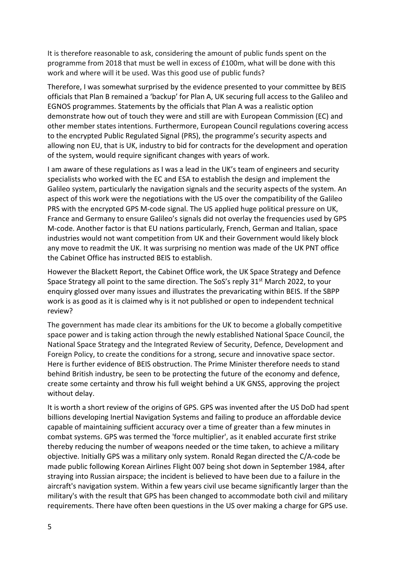It is therefore reasonable to ask, considering the amount of public funds spent on the programme from 2018 that must be well in excess of £100m, what will be done with this work and where will it be used. Was this good use of public funds?

Therefore, I was somewhat surprised by the evidence presented to your committee by BEIS officials that Plan B remained a 'backup' for Plan A, UK securing full access to the Galileo and EGNOS programmes. Statements by the officials that Plan A was a realistic option demonstrate how out of touch they were and still are with European Commission (EC) and other member states intentions. Furthermore, European Council regulations covering access to the encrypted Public Regulated Signal (PRS), the programme's security aspects and allowing non EU, that is UK, industry to bid for contracts for the development and operation of the system, would require significant changes with years of work.

I am aware of these regulations as I was a lead in the UK's team of engineers and security specialists who worked with the EC and ESA to establish the design and implement the Galileo system, particularly the navigation signals and the security aspects of the system. An aspect of this work were the negotiations with the US over the compatibility of the Galileo PRS with the encrypted GPS M-code signal. The US applied huge political pressure on UK, France and Germany to ensure Galileo's signals did not overlay the frequencies used by GPS M-code. Another factor is that EU nations particularly, French, German and Italian, space industries would not want competition from UK and their Government would likely block any move to readmit the UK. It was surprising no mention was made of the UK PNT office the Cabinet Office has instructed BEIS to establish.

However the Blackett Report, the Cabinet Office work, the UK Space Strategy and Defence Space Strategy all point to the same direction. The SoS's reply 31<sup>st</sup> March 2022, to your enquiry glossed over many issues and illustrates the prevaricating within BEIS. If the SBPP work is as good as it is claimed why is it not published or open to independent technical review?

The government has made clear its ambitions for the UK to become a globally competitive space power and is taking action through the newly established National Space Council, the National Space Strategy and the Integrated Review of Security, Defence, Development and Foreign Policy, to create the conditions for a strong, secure and innovative space sector. Here is further evidence of BEIS obstruction. The Prime Minister therefore needs to stand behind British industry, be seen to be protecting the future of the economy and defence, create some certainty and throw his full weight behind a UK GNSS, approving the project without delay.

It is worth a short review of the origins of GPS. GPS was invented after the US DoD had spent billions developing Inertial Navigation Systems and failing to produce an affordable device capable of maintaining sufficient accuracy over a time of greater than a few minutes in combat systems. GPS was termed the 'force multiplier', as it enabled accurate first strike thereby reducing the number of weapons needed or the time taken, to achieve a military objective. Initially GPS was a military only system. Ronald Regan directed the C/A-code be made public following Korean Airlines Flight 007 being shot down in September 1984, after straying into Russian airspace; the incident is believed to have been due to a failure in the aircraft's navigation system. Within a few years civil use became significantly larger than the military's with the result that GPS has been changed to accommodate both civil and military requirements. There have often been questions in the US over making a charge for GPS use.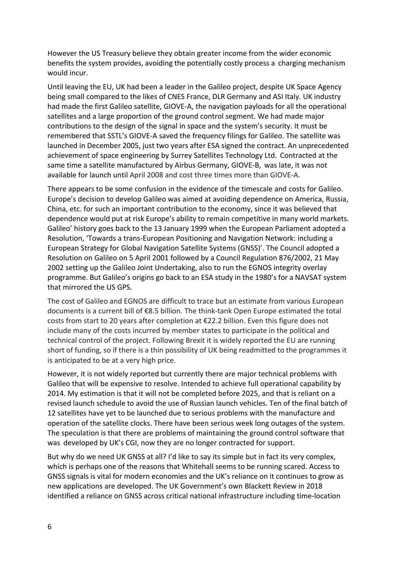However the US Treasury believe they obtain greater income from the wider economic benefits the system provides, avoiding the potentially costly process a charging mechanism would incur.

Until leaving the EU, UK had been a leader in the Galileo project, despite UK Space Agency being small compared to the likes of CNES France, DLR Germany and ASI Italy. UK industry had made the first Galileo satellite, GIOVE-A, the navigation payloads for all the operational satellites and a large proportion of the ground control segment. We had made major contributions to the design of the signal in space and the system's security. It must be remembered that SSTL's GIOVE-A saved the frequency filings for Galileo. The satellite was launched in December 2005, just two years after ESA signed the contract. An unprecedented achievement of space engineering by Surrey Satellites Technology Ltd. Contracted at the same time a satellite manufactured by Airbus Germany, GIOVE-B, was late, it was not available for launch until April 2008 and cost three times more than GIOVE-A.

There appears to be some confusion in the evidence of the timescale and costs for Galileo. Europe's decision to develop Galileo was aimed at avoiding dependence on America, Russia, China, etc. for such an important contribution to the economy, since it was believed that dependence would put at risk Europe's ability to remain competitive in many world markets. Galileo' history goes back to the 13 January 1999 when the European Parliament adopted a Resolution, 'Towards a trans-European Positioning and Navigation Network: including a European Strategy for Global Navigation Satellite Systems (GNSS)'. The Council adopted a Resolution on Galileo on 5 April 2001 followed by a Council Regulation 876/2002, 21 May 2002 setting up the Galileo Joint Undertaking, also to run the EGNOS integrity overlay programme. But Galileo's origins go back to an ESA study in the 1980's for a NAVSAT system that mirrored the US GPS.

The cost of Galileo and EGNOS are difficult to trace but an estimate from various European documents is a current bill of €8.5 billion. The think-tank Open Europe estimated the total costs from start to 20 years after completion at €22.2 billion. Even this figure does not include many of the costs incurred by member states to participate in the political and technical control of the project. Following Brexit it is widely reported the EU are running short of funding, so if there is a thin possibility of UK being readmitted to the programmes it is anticipated to be at a very high price.

However, it is not widely reported but currently there are major technical problems with Galileo that will be expensive to resolve. Intended to achieve full operational capability by 2014. My estimation is that it will not be completed before 2025, and that is reliant on a revised launch schedule to avoid the use of Russian launch vehicles. Ten of the final batch of 12 satellites have yet to be launched due to serious problems with the manufacture and operation of the satellite clocks. There have been serious week long outages of the system. The speculation is that there are problems of maintaining the ground control software that was developed by UK's CGI, now they are no longer contracted for support.

But why do we need UK GNSS at all? I'd like to say its simple but in fact its very complex, which is perhaps one of the reasons that Whitehall seems to be running scared. Access to GNSS signals is vital for modern economies and the UK's reliance on it continues to grow as new applications are developed. The UK Government's own Blackett Review in 2018 identified a reliance on GNSS across critical national infrastructure including time-location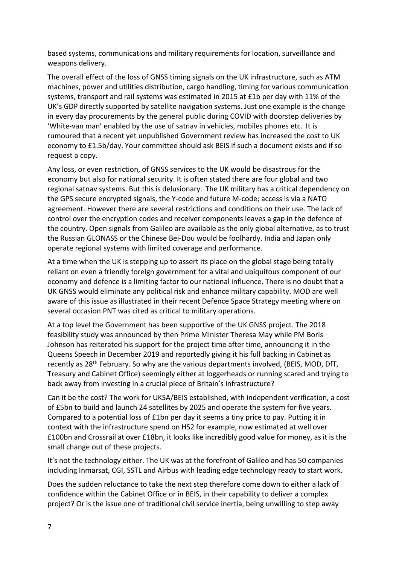based systems, communications and military requirements for location, surveillance and weapons delivery.

The overall effect of the loss of GNSS timing signals on the UK infrastructure, such as ATM machines, power and utilities distribution, cargo handling, timing for various communication systems, transport and rail systems was estimated in 2015 at £1b per day with 11% of the UK's GDP directly supported by satellite navigation systems. Just one example is the change in every day procurements by the general public during COVID with doorstep deliveries by 'White-van man' enabled by the use of satnav in vehicles, mobiles phones etc. It is rumoured that a recent yet unpublished Government review has increased the cost to UK economy to £1.5b/day. Your committee should ask BEIS if such a document exists and if so request a copy.

Any loss, or even restriction, of GNSS services to the UK would be disastrous for the economy but also for national security. It is often stated there are four global and two regional satnav systems. But this is delusionary. The UK military has a critical dependency on the GPS secure encrypted signals, the Y-code and future M-code; access is via a NATO agreement. However there are several restrictions and conditions on their use. The lack of control over the encryption codes and receiver components leaves a gap in the defence of the country. Open signals from Galileo are available as the only global alternative, as to trust the Russian GLONASS or the Chinese Bei-Dou would be foolhardy. India and Japan only operate regional systems with limited coverage and performance.

At a time when the UK is stepping up to assert its place on the global stage being totally reliant on even a friendly foreign government for a vital and ubiquitous component of our economy and defence is a limiting factor to our national influence. There is no doubt that a UK GNSS would eliminate any political risk and enhance military capability. MOD are well aware of this issue as illustrated in their recent Defence Space Strategy meeting where on several occasion PNT was cited as critical to military operations.

At a top level the Government has been supportive of the UK GNSS project. The 2018 feasibility study was announced by then Prime Minister Theresa May while PM Boris Johnson has reiterated his support for the project time after time, announcing it in the Queens Speech in December 2019 and reportedly giving it his full backing in Cabinet as recently as 28<sup>th</sup> February. So why are the various departments involved, (BEIS, MOD, DfT, Treasury and Cabinet Office) seemingly either at loggerheads or running scared and trying to back away from investing in a crucial piece of Britain's infrastructure?

Can it be the cost? The work for UKSA/BEIS established, with independent verification, a cost of £5bn to build and launch 24 satellites by 2025 and operate the system for five years. Compared to a potential loss of £1bn per day it seems a tiny price to pay. Putting it in context with the infrastructure spend on HS2 for example, now estimated at well over £100bn and Crossrail at over £18bn, it looks like incredibly good value for money, as it is the small change out of these projects.

It's not the technology either. The UK was at the forefront of Galileo and has 50 companies including Inmarsat, CGI, SSTL and Airbus with leading edge technology ready to start work.

Does the sudden reluctance to take the next step therefore come down to either a lack of confidence within the Cabinet Office or in BEIS, in their capability to deliver a complex project? Or is the issue one of traditional civil service inertia, being unwilling to step away